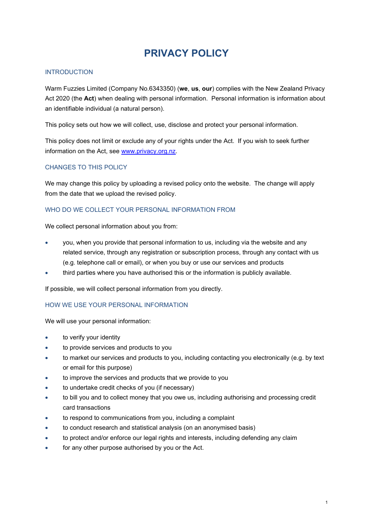# **PRIVACY POLICY**

## **INTRODUCTION**

Warm Fuzzies Limited (Company No.6343350) (**we**, **us**, **our**) complies with the New Zealand Privacy Act 2020 (the **Act**) when dealing with personal information. Personal information is information about an identifiable individual (a natural person).

This policy sets out how we will collect, use, disclose and protect your personal information.

This policy does not limit or exclude any of your rights under the Act. If you wish to seek further information on the Act, see [www.privacy.org.nz.](http://www.privacy.org.nz/)

# CHANGES TO THIS POLICY

We may change this policy by uploading a revised policy onto the website. The change will apply from the date that we upload the revised policy.

## WHO DO WE COLLECT YOUR PERSONAL INFORMATION FROM

We collect personal information about you from:

- you, when you provide that personal information to us, including via the website and any related service, through any registration or subscription process, through any contact with us (e.g. telephone call or email), or when you buy or use our services and products
- third parties where you have authorised this or the information is publicly available.

If possible, we will collect personal information from you directly.

### HOW WE USE YOUR PERSONAL INFORMATION

We will use your personal information:

- to verify your identity
- to provide services and products to you
- to market our services and products to you, including contacting you electronically (e.g. by text or email for this purpose)
- to improve the services and products that we provide to you
- to undertake credit checks of you (if necessary)
- to bill you and to collect money that you owe us, including authorising and processing credit card transactions
- to respond to communications from you, including a complaint
- to conduct research and statistical analysis (on an anonymised basis)
- to protect and/or enforce our legal rights and interests, including defending any claim
- for any other purpose authorised by you or the Act.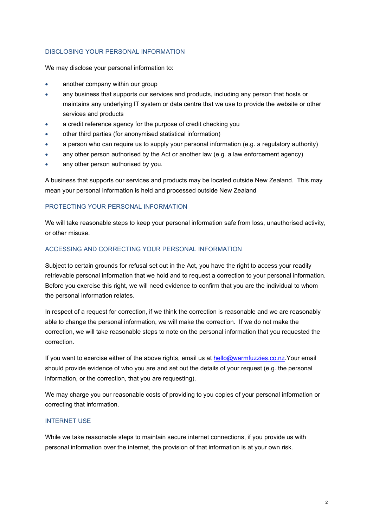# DISCLOSING YOUR PERSONAL INFORMATION

We may disclose your personal information to:

- another company within our group
- any business that supports our services and products, including any person that hosts or maintains any underlying IT system or data centre that we use to provide the website or other services and products
- a credit reference agency for the purpose of credit checking you
- other third parties (for anonymised statistical information)
- a person who can require us to supply your personal information (e.g. a regulatory authority)
- any other person authorised by the Act or another law (e.g. a law enforcement agency)
- any other person authorised by you.

A business that supports our services and products may be located outside New Zealand. This may mean your personal information is held and processed outside New Zealand

### PROTECTING YOUR PERSONAL INFORMATION

We will take reasonable steps to keep your personal information safe from loss, unauthorised activity, or other misuse.

#### ACCESSING AND CORRECTING YOUR PERSONAL INFORMATION

Subject to certain grounds for refusal set out in the Act, you have the right to access your readily retrievable personal information that we hold and to request a correction to your personal information. Before you exercise this right, we will need evidence to confirm that you are the individual to whom the personal information relates.

In respect of a request for correction, if we think the correction is reasonable and we are reasonably able to change the personal information, we will make the correction. If we do not make the correction, we will take reasonable steps to note on the personal information that you requested the correction.

If you want to exercise either of the above rights, email us at [hello@warmfuzzies.co.nz.](mailto:hello@warmfuzzies.co.nz)Your email should provide evidence of who you are and set out the details of your request (e.g. the personal information, or the correction, that you are requesting).

We may charge you our reasonable costs of providing to you copies of your personal information or correcting that information.

#### INTERNET USE

While we take reasonable steps to maintain secure internet connections, if you provide us with personal information over the internet, the provision of that information is at your own risk.